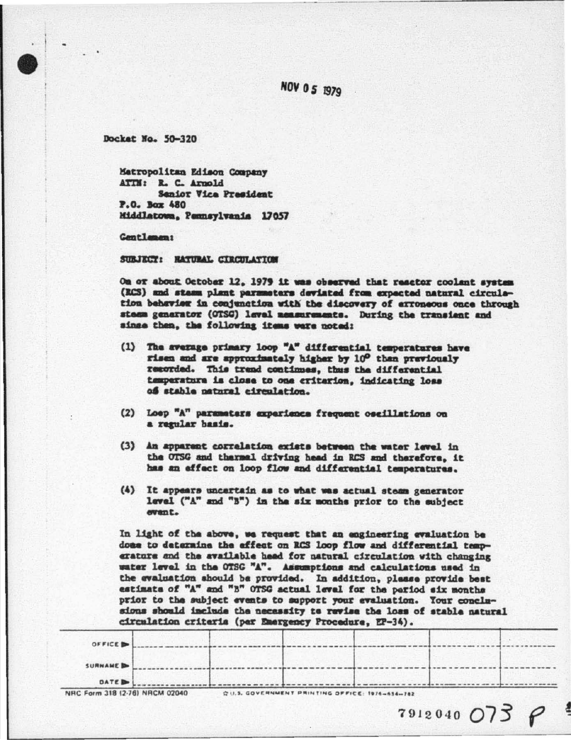## NOV 05 1979

Docket No. 50-320

Matropolitan Edison Company ATTM: R. C. Arnold Sanior Vice President P.O. Box 480 Middlatowa, Pennsylvania 17057

Gentlemen:

SUBJECT: RATURAL CIRCULATION

On or about October 12. 1979 it was observed that reactor coolent system (RCS) and stasm plant parameters deviated from expected natural circulation behavior in conjunction with the discovery of erroneous once through steem generator (OTSG) level measurements. During the transient and sinze then, the following items were noted:

- (1) The average primary loop "A" differential temperatures have risen and are approximately higher by 10° than previously resorded. This trend continues, thus the differential temperature is close to one criterion, indicating loss of stable patural circulation.
- (2) Loep "A" parameters experience frequent oscillations on a regular basis.
- (3) An apparent correlation exists between the water level in the OTSG and thermal driving head in RCS and therefore, it has an effect on loop flow and differential temperatures.
- (4) It appears uncertain as to what was actual steam generator level ("A" and "B") in the six months prior to the subject event.

In light of the above, we request that an engineering evaluation be done to determine the effect on RCS loop flow and differential temperature and the available head for natural circulation with changing water level in the OTSG "A". Assumptions and calculations used in the evaluation should be provided. In addition, please provide best estimate of "A" and "B" OTSG actual level for the pariod six months prior to the subject events to support your evaluation. Your conclusions should include the necessity to revise the loss of stable natural circulation criteria (per Emergency Procedure, EP-34).

| OFFICE D  |  |  |  |
|-----------|--|--|--|
|           |  |  |  |
| SURNAME D |  |  |  |
| DATE D    |  |  |  |

 $7912040073P$